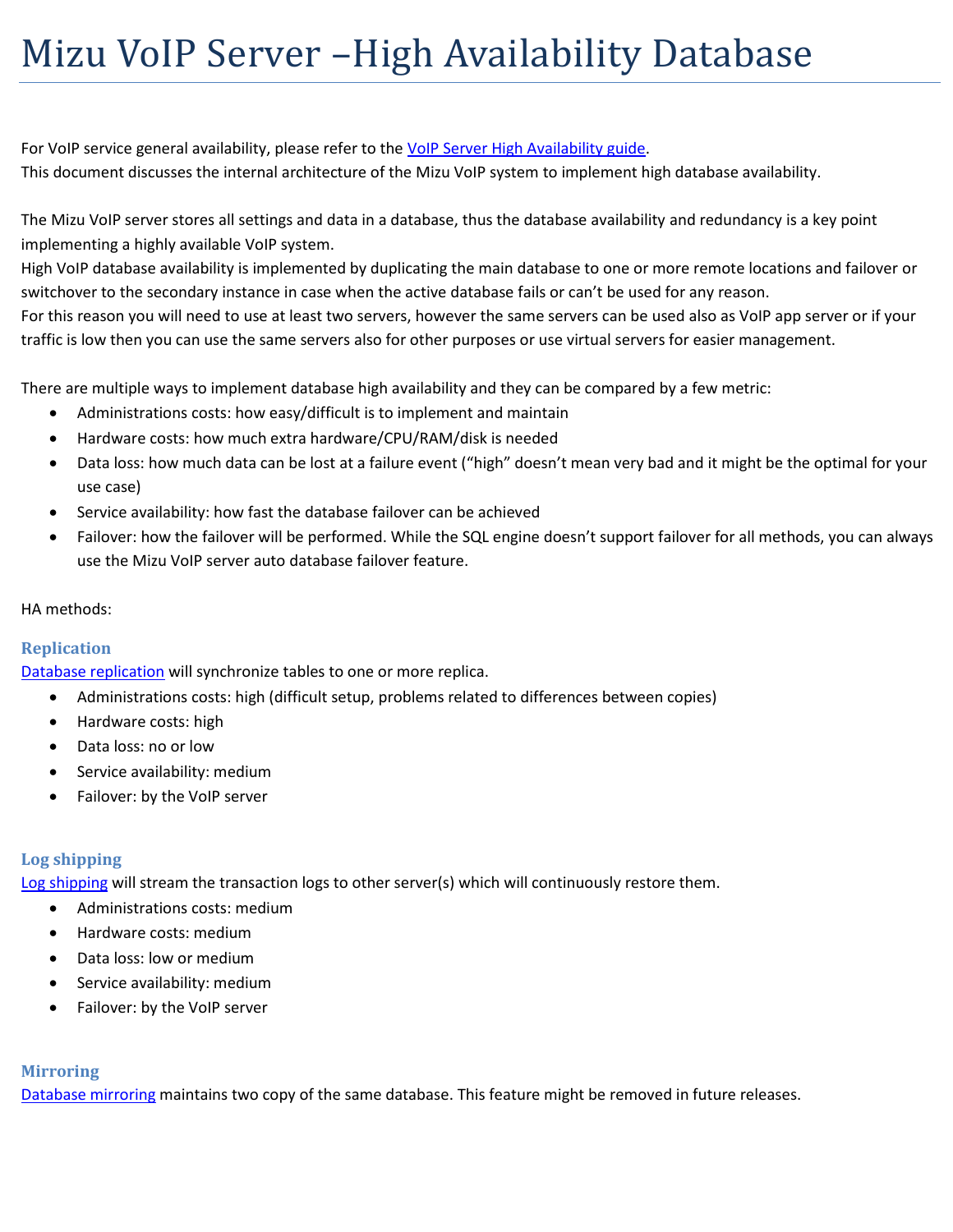# Mizu VoIP Server –High Availability Database

For VoIP service general availability, please refer to the VoIP Server [High Availability guide.](https://www.mizu-voip.com/Portals/0/Files/VoIP_Server_HA_VoIP.pdf) This document discusses the internal architecture of the Mizu VoIP system to implement high database availability.

The Mizu VoIP server stores all settings and data in a database, thus the database availability and redundancy is a key point implementing a highly available VoIP system.

High VoIP database availability is implemented by duplicating the main database to one or more remote locations and failover or switchover to the secondary instance in case when the active database fails or can't be used for any reason.

For this reason you will need to use at least two servers, however the same servers can be used also as VoIP app server or if your traffic is low then you can use the same servers also for other purposes or use virtual servers for easier management.

There are multiple ways to implement database high availability and they can be compared by a few metric:

- Administrations costs: how easy/difficult is to implement and maintain
- Hardware costs: how much extra hardware/CPU/RAM/disk is needed
- Data loss: how much data can be lost at a failure event ("high" doesn't mean very bad and it might be the optimal for your use case)
- Service availability: how fast the database failover can be achieved
- Failover: how the failover will be performed. While the SQL engine doesn't support failover for all methods, you can always use the Mizu VoIP server auto database failover feature.

# HA methods:

# **Replication**

[Database replication](https://docs.microsoft.com/en-us/sql/relational-databases/replication/sql-server-replication) will synchronize tables to one or more replica.

- Administrations costs: high (difficult setup, problems related to differences between copies)
- Hardware costs: high
- Data loss: no or low
- Service availability: medium
- Failover: by the VoIP server

# **Log shipping**

[Log shipping](https://docs.microsoft.com/en-us/sql/database-engine/log-shipping/about-log-shipping-sql-server) will stream the transaction logs to other server(s) which will continuously restore them.

- Administrations costs: medium
- Hardware costs: medium
- Data loss: low or medium
- Service availability: medium
- Failover: by the VoIP server

# **Mirroring**

[Database mirroring](https://docs.microsoft.com/en-us/sql/database-engine/database-mirroring/database-mirroring-sql-server) maintains two copy of the same database. This feature might be removed in future releases.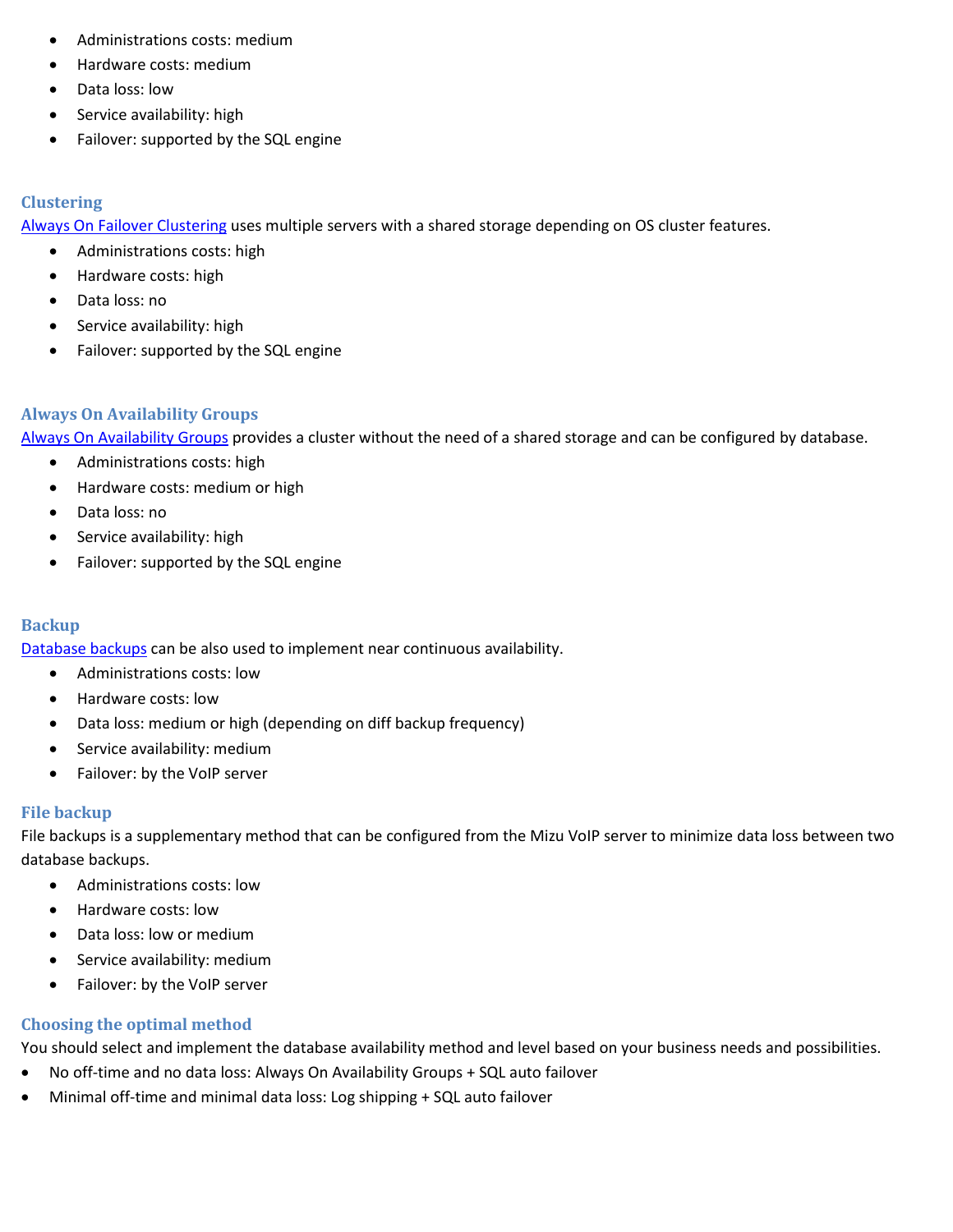- Administrations costs: medium
- Hardware costs: medium
- Data loss: low
- Service availability: high
- Failover: supported by the SQL engine

### **Clustering**

[Always On Failover Clustering](https://docs.microsoft.com/en-us/sql/sql-server/failover-clusters/windows/always-on-failover-cluster-instances-sql-server) uses multiple servers with a shared storage depending on OS cluster features.

- Administrations costs: high
- Hardware costs: high
- Data loss: no
- Service availability: high
- Failover: supported by the SQL engine

# **Always On Availability Groups**

[Always On Availability Groups](https://docs.microsoft.com/en-us/sql/database-engine/availability-groups/windows/overview-of-always-on-availability-groups-sql-server) provides a cluster without the need of a shared storage and can be configured by database.

- Administrations costs: high
- Hardware costs: medium or high
- Data loss: no
- Service availability: high
- Failover: supported by the SQL engine

# **Backup**

[Database backups](https://docs.microsoft.com/en-us/sql/relational-databases/backup-restore/back-up-and-restore-of-sql-server-databases) can be also used to implement near continuous availability.

- Administrations costs: low
- Hardware costs: low
- Data loss: medium or high (depending on diff backup frequency)
- Service availability: medium
- Failover: by the VoIP server

# **File backup**

File backups is a supplementary method that can be configured from the Mizu VoIP server to minimize data loss between two database backups.

- Administrations costs: low
- Hardware costs: low
- Data loss: low or medium
- Service availability: medium
- Failover: by the VoIP server

# **Choosing the optimal method**

You should select and implement the database availability method and level based on your business needs and possibilities.

- No off-time and no data loss: Always On Availability Groups + SQL auto failover
- Minimal off-time and minimal data loss: Log shipping + SQL auto failover